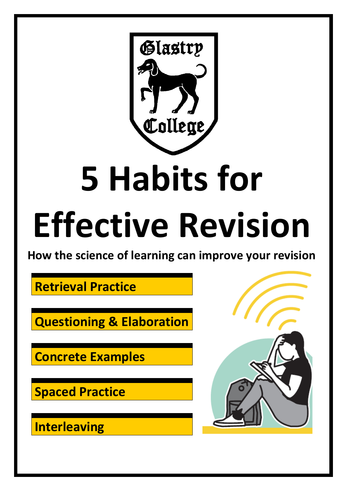

# **5 Habits for**

## **Effective Revision**

**How the science of learning can improve your revision**

**Retrieval Practice**

**Questioning & Elaboration**

**Concrete Examples**

**Spaced Practice**

**Interleaving**

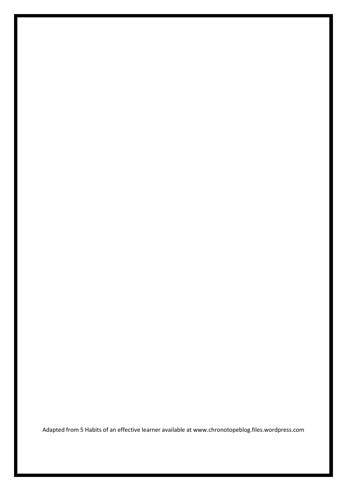Adapted from 5 Habits of an effective learner available at www.chronotopeblog.files.wordpress.com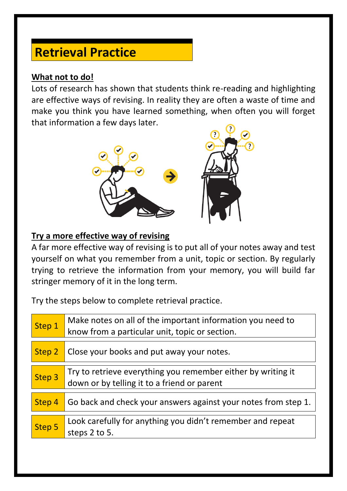### **Retrieval Practice**

#### **What not to do!**

Lots of research has shown that students think re-reading and highlighting are effective ways of revising. In reality they are often a waste of time and make you think you have learned something, when often you will forget that information a few days later.



#### **Try a more effective way of revising**

A far more effective way of revising is to put all of your notes away and test yourself on what you remember from a unit, topic or section. By regularly trying to retrieve the information from your memory, you will build far stringer memory of it in the long term.

Try the steps below to complete retrieval practice.

| Step 1 | Make notes on all of the important information you need to<br>know from a particular unit, topic or section. |
|--------|--------------------------------------------------------------------------------------------------------------|
| Step 2 | Close your books and put away your notes.                                                                    |
| Step 3 | Try to retrieve everything you remember either by writing it<br>down or by telling it to a friend or parent  |
| Step 4 | Go back and check your answers against your notes from step 1.                                               |
| Step 5 | Look carefully for anything you didn't remember and repeat<br>steps 2 to 5.                                  |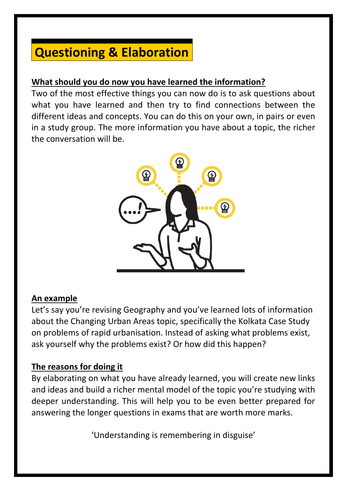## **Questioning & Elaboration**

#### **What should you do now you have learned the information?**

Two of the most effective things you can now do is to ask questions about what you have learned and then try to find connections between the different ideas and concepts. You can do this on your own, in pairs or even in a study group. The more information you have about a topic, the richer the conversation will be.



#### **An example**

Let's say you're revising Geography and you've learned lots of information about the Changing Urban Areas topic, specifically the Kolkata Case Study on problems of rapid urbanisation. Instead of asking what problems exist, ask yourself why the problems exist? Or how did this happen?

#### **The reasons for doing it**

By elaborating on what you have already learned, you will create new links and ideas and build a richer mental model of the topic you're studying with deeper understanding. This will help you to be even better prepared for answering the longer questions in exams that are worth more marks.

'Understanding is remembering in disguise'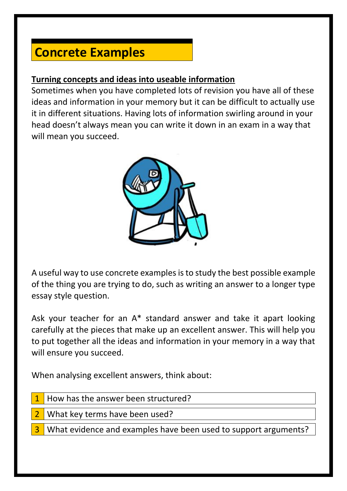## **Concrete Examples**

#### **Turning concepts and ideas into useable information**

Sometimes when you have completed lots of revision you have all of these ideas and information in your memory but it can be difficult to actually use it in different situations. Having lots of information swirling around in your head doesn't always mean you can write it down in an exam in a way that will mean you succeed.



A useful way to use concrete examples is to study the best possible example of the thing you are trying to do, such as writing an answer to a longer type essay style question.

Ask your teacher for an A\* standard answer and take it apart looking carefully at the pieces that make up an excellent answer. This will help you to put together all the ideas and information in your memory in a way that will ensure you succeed.

When analysing excellent answers, think about:

| $\vert$ 1 How has the answer been structured?                            |
|--------------------------------------------------------------------------|
| 2 What key terms have been used?                                         |
| <b>3</b> What evidence and examples have been used to support arguments? |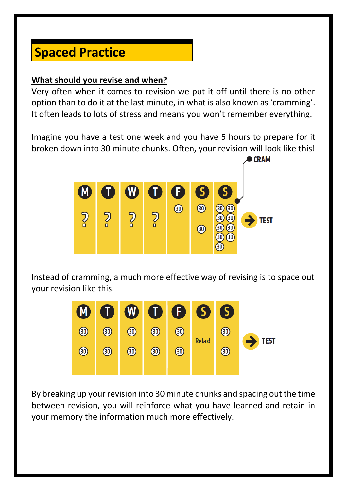## **Spaced Practice**

#### **What should you revise and when?**

Very often when it comes to revision we put it off until there is no other option than to do it at the last minute, in what is also known as 'cramming'. It often leads to lots of stress and means you won't remember everything.

Imagine you have a test one week and you have 5 hours to prepare for it broken down into 30 minute chunks. Often, your revision will look like this!



Instead of cramming, a much more effective way of revising is to space out your revision like this.



By breaking up your revision into 30 minute chunks and spacing out the time between revision, you will reinforce what you have learned and retain in your memory the information much more effectively.